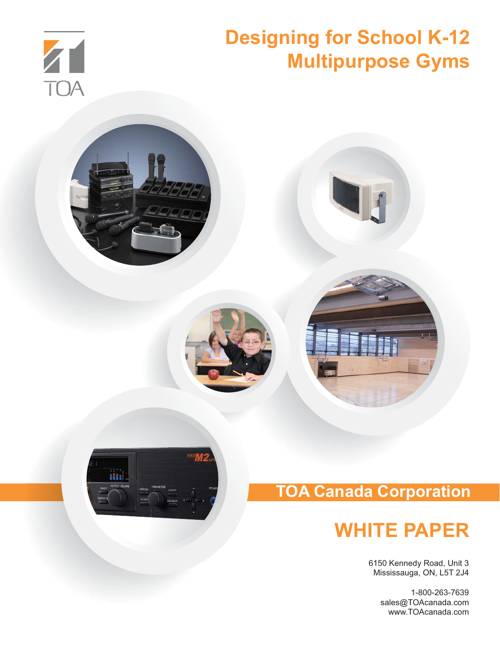







## **TOA Canada Corporation**

## **WHITE PAPER**

6150 Kennedy Road, Unit 3 Mississauga, ON, L5T 2J4

> 1-800-263-7639 sales@TOAcanada.com www.TOAcanada.com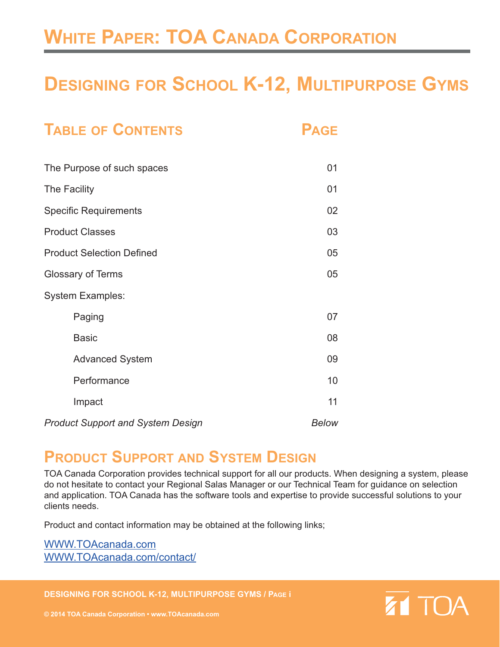## **WHITE PAPER: TOA CANADA CORPORATION**

## **DESIGNING FOR SCHOOL K-12, MULTIPURPOSE GYMS**

| <b>TABLE OF CONTENTS</b>                 | <b>PAGE</b>  |
|------------------------------------------|--------------|
| The Purpose of such spaces               | 01           |
| The Facility                             | 01           |
| <b>Specific Requirements</b>             | 02           |
| <b>Product Classes</b>                   | 03           |
| <b>Product Selection Defined</b>         | 05           |
| <b>Glossary of Terms</b>                 | 05           |
| <b>System Examples:</b>                  |              |
| Paging                                   | 07           |
| <b>Basic</b>                             | 08           |
| <b>Advanced System</b>                   | 09           |
| Performance                              | 10           |
| Impact                                   | 11           |
| <b>Product Support and System Design</b> | <b>Below</b> |

## **PRODUCT SUPPORT AND SYSTEM DESIGN**

TOA Canada Corporation provides technical support for all our products. When designing a system, please do not hesitate to contact your Regional Salas Manager or our Technical Team for guidance on selection and application. TOA Canada has the software tools and expertise to provide successful solutions to your clients needs.

Product and contact information may be obtained at the following links;

WWW.TOAcanada.com WWW.TOAcanada.com/contact/

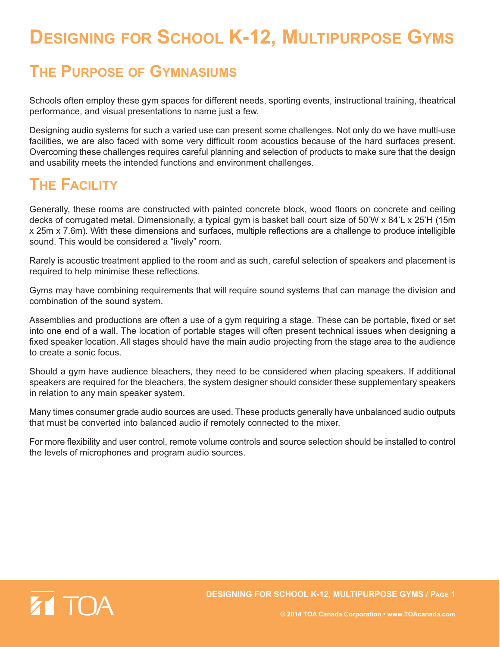## **DESIGNING FOR SCHOOL K-12, MULTIPURPOSE GYMS**

## **THE PURPOSE OF GYMNASIUMS**

Schools often employ these gym spaces for different needs, sporting events, instructional training, theatrical performance, and visual presentations to name just a few.

Designing audio systems for such a varied use can present some challenges. Not only do we have multi-use facilities, we are also faced with some very difficult room acoustics because of the hard surfaces present. Overcoming these challenges requires careful planning and selection of products to make sure that the design and usability meets the intended functions and environment challenges.

## **THE FACILITY**

Generally, these rooms are constructed with painted concrete block, wood floors on concrete and ceiling decks of corrugated metal. Dimensionally, a typical gym is basket ball court size of 50'W x 84'L x 25'H (15m x 25m x 7.6m). With these dimensions and surfaces, multiple reflections are a challenge to produce intelligible sound. This would be considered a "lively" room.

Rarely is acoustic treatment applied to the room and as such, careful selection of speakers and placement is required to help minimise these reflections.

Gyms may have combining requirements that will require sound systems that can manage the division and combination of the sound system.

Assemblies and productions are often a use of a gym requiring a stage. These can be portable, fixed or set into one end of a wall. The location of portable stages will often present technical issues when designing a fixed speaker location. All stages should have the main audio projecting from the stage area to the audience to create a sonic focus.

Should a gym have audience bleachers, they need to be considered when placing speakers. If additional speakers are required for the bleachers, the system designer should consider these supplementary speakers in relation to any main speaker system.

Many times consumer grade audio sources are used. These products generally have unbalanced audio outputs that must be converted into balanced audio if remotely connected to the mixer.

For more flexibility and user control, remote volume controls and source selection should be installed to control the levels of microphones and program audio sources.

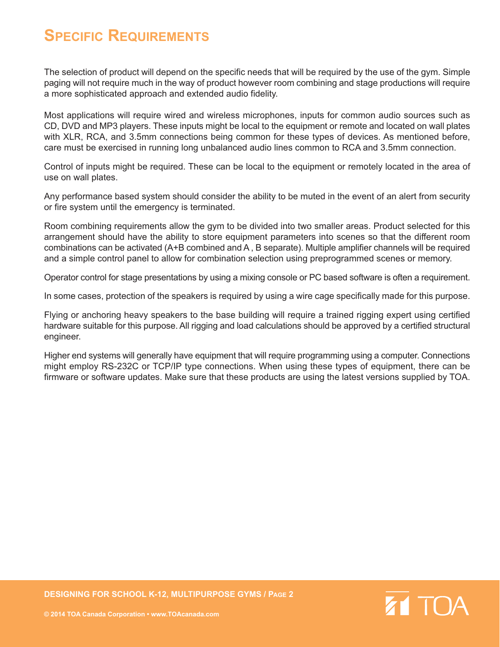### **SPECIFIC REQUIREMENTS**

The selection of product will depend on the specific needs that will be required by the use of the gym. Simple paging will not require much in the way of product however room combining and stage productions will require a more sophisticated approach and extended audio fidelity.

Most applications will require wired and wireless microphones, inputs for common audio sources such as CD, DVD and MP3 players. These inputs might be local to the equipment or remote and located on wall plates with XLR, RCA, and 3.5mm connections being common for these types of devices. As mentioned before, care must be exercised in running long unbalanced audio lines common to RCA and 3.5mm connection.

Control of inputs might be required. These can be local to the equipment or remotely located in the area of use on wall plates.

Any performance based system should consider the ability to be muted in the event of an alert from security or fire system until the emergency is terminated.

Room combining requirements allow the gym to be divided into two smaller areas. Product selected for this arrangement should have the ability to store equipment parameters into scenes so that the different room combinations can be activated (A+B combined and A , B separate). Multiple amplifier channels will be required and a simple control panel to allow for combination selection using preprogrammed scenes or memory.

Operator control for stage presentations by using a mixing console or PC based software is often a requirement.

In some cases, protection of the speakers is required by using a wire cage specifically made for this purpose.

Flying or anchoring heavy speakers to the base building will require a trained rigging expert using certified hardware suitable for this purpose. All rigging and load calculations should be approved by a certified structural engineer.

Higher end systems will generally have equipment that will require programming using a computer. Connections might employ RS-232C or TCP/IP type connections. When using these types of equipment, there can be firmware or software updates. Make sure that these products are using the latest versions supplied by TOA.



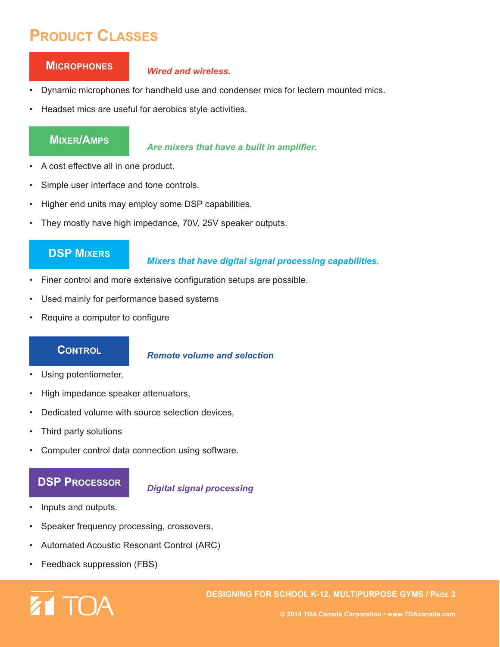## **PRODUCT CLASSES**

#### **MICROPHONES**

#### *Wired and wireless***.**

- Dynamic microphones for handheld use and condenser mics for lectern mounted mics.
- Headset mics are useful for aerobics style activities.

#### **MIXER/AMPS**

*Are mixers that have a built in amplifier.*

- A cost effective all in one product.
- Simple user interface and tone controls.
- Higher end units may employ some DSP capabilities.
- They mostly have high impedance, 70V, 25V speaker outputs.

#### **DSP MIXERS**

#### *Mixers that have digital signal processing capabilities.*

- Finer control and more extensive configuration setups are possible.
- Used mainly for performance based systems
- Require a computer to configure

#### **CONTROL**

#### *Remote volume and selection*

- Using potentiometer,
- High impedance speaker attenuators,
- Dedicated volume with source selection devices,
- Third party solutions
- Computer control data connection using software.

#### **DSP PROCESSOR**

#### *Digital signal processing*

- Inputs and outputs.
- Speaker frequency processing, crossovers,
- Automated Acoustic Resonant Control (ARC)
- Feedback suppression (FBS)

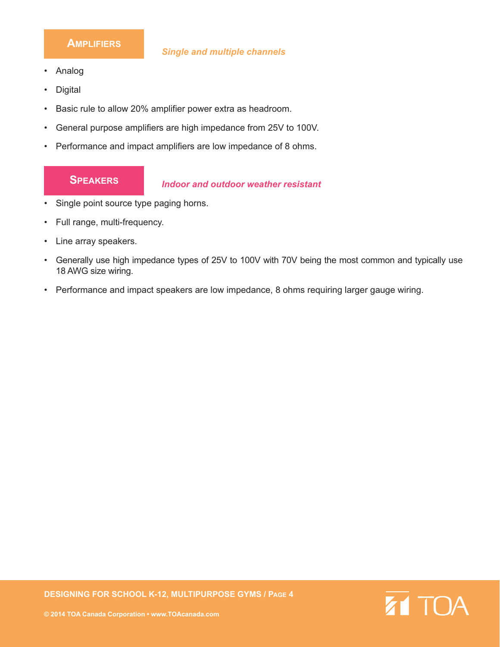#### **AMPLIFIERS**

- Analog
- **Digital**
- Basic rule to allow 20% amplifier power extra as headroom.
- General purpose amplifiers are high impedance from 25V to 100V.
- Performance and impact amplifiers are low impedance of 8 ohms.

#### **SPEAKERS**

#### *Indoor and outdoor weather resistant*

- Single point source type paging horns.
- Full range, multi-frequency.
- Line array speakers.
- Generally use high impedance types of 25V to 100V with 70V being the most common and typically use 18 AWG size wiring.
- Performance and impact speakers are low impedance, 8 ohms requiring larger gauge wiring.

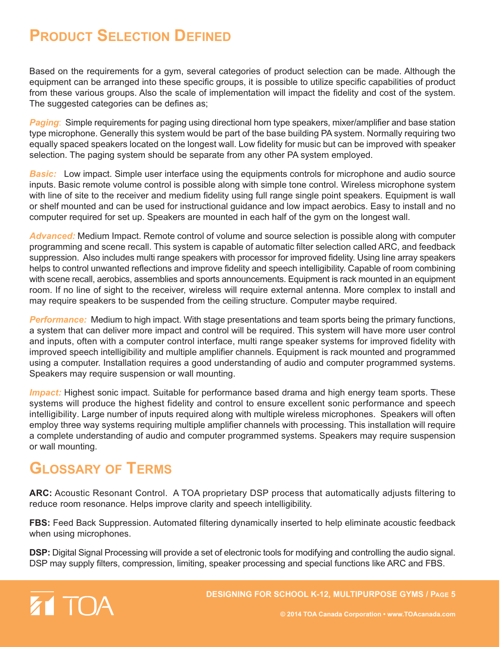## **PRODUCT SELECTION DEFINED**

Based on the requirements for a gym, several categories of product selection can be made. Although the equipment can be arranged into these specific groups, it is possible to utilize specific capabilities of product from these various groups. Also the scale of implementation will impact the fidelity and cost of the system. The suggested categories can be defines as;

*Paging*: Simple requirements for paging using directional horn type speakers, mixer/amplifier and base station type microphone. Generally this system would be part of the base building PA system. Normally requiring two equally spaced speakers located on the longest wall. Low fidelity for music but can be improved with speaker selection. The paging system should be separate from any other PA system employed.

*Basic:* Low impact. Simple user interface using the equipments controls for microphone and audio source inputs. Basic remote volume control is possible along with simple tone control. Wireless microphone system with line of site to the receiver and medium fidelity using full range single point speakers. Equipment is wall or shelf mounted and can be used for instructional guidance and low impact aerobics. Easy to install and no computer required for set up. Speakers are mounted in each half of the gym on the longest wall.

*Advanced:* Medium Impact. Remote control of volume and source selection is possible along with computer programming and scene recall. This system is capable of automatic filter selection called ARC, and feedback suppression. Also includes multi range speakers with processor for improved fidelity. Using line array speakers helps to control unwanted reflections and improve fidelity and speech intelligibility. Capable of room combining with scene recall, aerobics, assemblies and sports announcements. Equipment is rack mounted in an equipment room. If no line of sight to the receiver, wireless will require external antenna. More complex to install and may require speakers to be suspended from the ceiling structure. Computer maybe required.

*Performance:* Medium to high impact. With stage presentations and team sports being the primary functions, a system that can deliver more impact and control will be required. This system will have more user control and inputs, often with a computer control interface, multi range speaker systems for improved fidelity with improved speech intelligibility and multiple amplifier channels. Equipment is rack mounted and programmed using a computer. Installation requires a good understanding of audio and computer programmed systems. Speakers may require suspension or wall mounting.

*Impact:* Highest sonic impact. Suitable for performance based drama and high energy team sports. These systems will produce the highest fidelity and control to ensure excellent sonic performance and speech intelligibility. Large number of inputs required along with multiple wireless microphones. Speakers will often employ three way systems requiring multiple amplifier channels with processing. This installation will require a complete understanding of audio and computer programmed systems. Speakers may require suspension or wall mounting.

## **GLOSSARY OF TERMS**

**ARC:** Acoustic Resonant Control. A TOA proprietary DSP process that automatically adjusts filtering to reduce room resonance. Helps improve clarity and speech intelligibility.

**FBS:** Feed Back Suppression. Automated filtering dynamically inserted to help eliminate acoustic feedback when using microphones.

**DSP:** Digital Signal Processing will provide a set of electronic tools for modifying and controlling the audio signal. DSP may supply filters, compression, limiting, speaker processing and special functions like ARC and FBS.

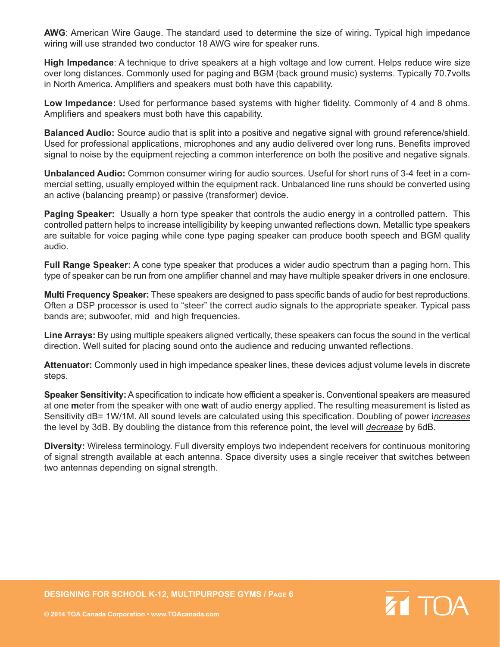**AWG**: American Wire Gauge. The standard used to determine the size of wiring. Typical high impedance wiring will use stranded two conductor 18 AWG wire for speaker runs.

**High Impedance**: A technique to drive speakers at a high voltage and low current. Helps reduce wire size over long distances. Commonly used for paging and BGM (back ground music) systems. Typically 70.7volts in North America. Amplifiers and speakers must both have this capability.

**Low Impedance:** Used for performance based systems with higher fidelity. Commonly of 4 and 8 ohms. Amplifiers and speakers must both have this capability.

**Balanced Audio:** Source audio that is split into a positive and negative signal with ground reference/shield. Used for professional applications, microphones and any audio delivered over long runs. Benefits improved signal to noise by the equipment rejecting a common interference on both the positive and negative signals.

**Unbalanced Audio:** Common consumer wiring for audio sources. Useful for short runs of 3-4 feet in a commercial setting, usually employed within the equipment rack. Unbalanced line runs should be converted using an active (balancing preamp) or passive (transformer) device.

**Paging Speaker:** Usually a horn type speaker that controls the audio energy in a controlled pattern. This controlled pattern helps to increase intelligibility by keeping unwanted reflections down. Metallic type speakers are suitable for voice paging while cone type paging speaker can produce booth speech and BGM quality audio.

**Full Range Speaker:** A cone type speaker that produces a wider audio spectrum than a paging horn. This type of speaker can be run from one amplifier channel and may have multiple speaker drivers in one enclosure.

**Multi Frequency Speaker:** These speakers are designed to pass specific bands of audio for best reproductions. Often a DSP processor is used to "steer" the correct audio signals to the appropriate speaker. Typical pass bands are; subwoofer, mid and high frequencies.

**Line Arrays:** By using multiple speakers aligned vertically, these speakers can focus the sound in the vertical direction. Well suited for placing sound onto the audience and reducing unwanted reflections.

**Attenuator:** Commonly used in high impedance speaker lines, these devices adjust volume levels in discrete steps.

**Speaker Sensitivity:**A specification to indicate how efficient a speaker is. Conventional speakers are measured at one **m**eter from the speaker with one **w**att of audio energy applied. The resulting measurement is listed as Sensitivity dB= 1W/1M. All sound levels are calculated using this specification. Doubling of power i*ncreases* the level by 3dB. By doubling the distance from this reference point, the level will *decrease* by 6dB.

**Diversity:** Wireless terminology. Full diversity employs two independent receivers for continuous monitoring of signal strength available at each antenna. Space diversity uses a single receiver that switches between two antennas depending on signal strength.

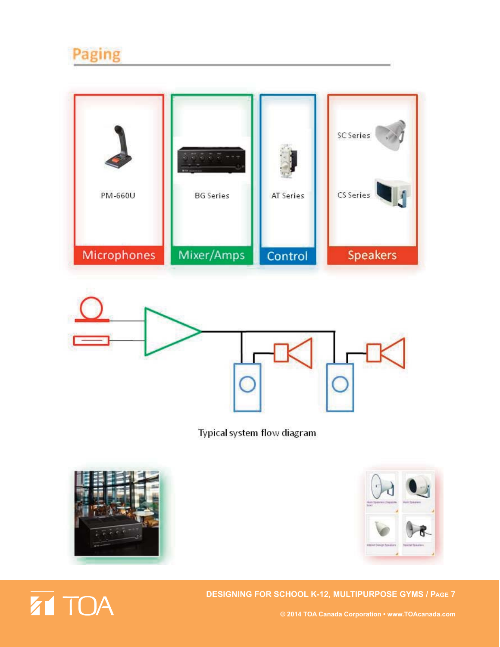## Paging





Typical system flow diagram





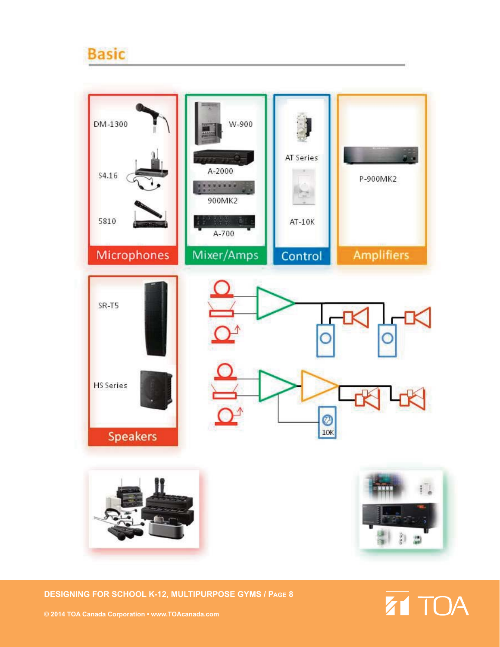## **Basic**



**DESIGNING FOR SCHOOL K-12, MULTIPURPOSE GYMS / PAGE 8**

# **ZT TOA**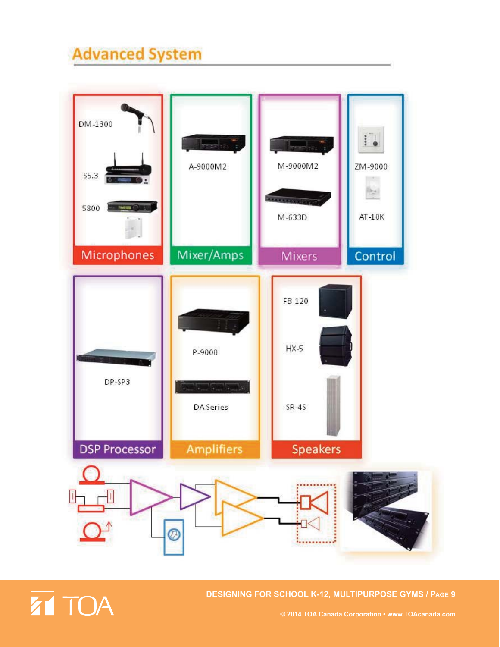## **Advanced System**





**DESIGNING FOR SCHOOL K-12, MULTIPURPOSE GYMS / PAGE 9**

**© 2014 TOA Canada Corporation • www.TOAcanada.com**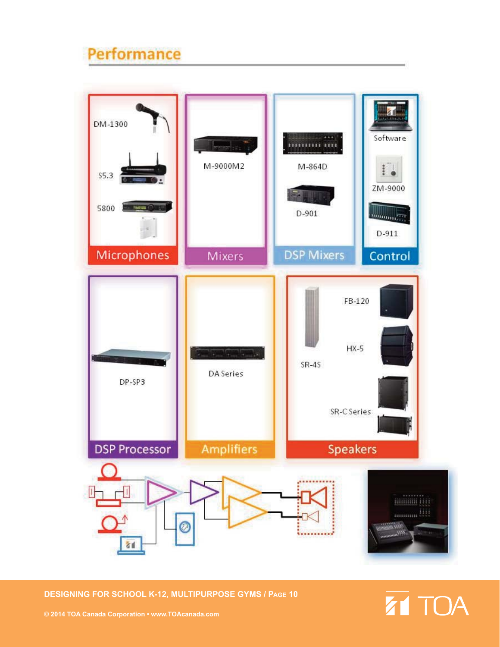## Performance



**DESIGNING FOR SCHOOL K-12, MULTIPURPOSE GYMS / PAGE 10**

# **ZT TOA**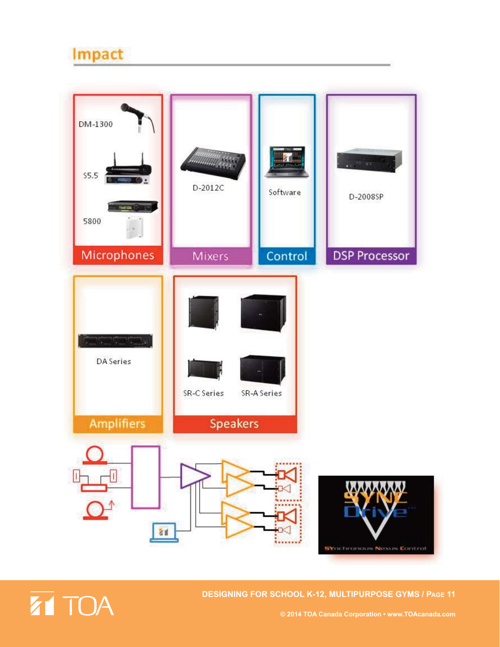## Impact



![](_page_12_Picture_2.jpeg)